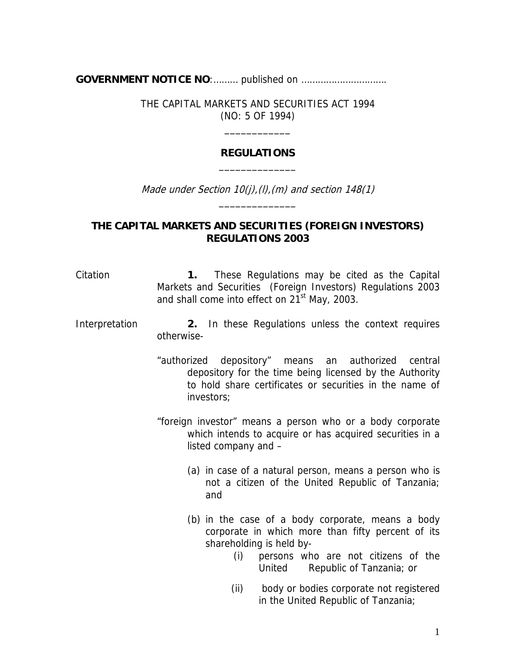**GOVERNMENT NOTICE NO**:……… published on ………………………….

THE CAPITAL MARKETS AND SECURITIES ACT 1994 (NO: 5 OF 1994)

\_\_\_\_\_\_\_\_\_\_\_\_

## **REGULATIONS**  \_\_\_\_\_\_\_\_\_\_\_\_\_\_

Made under Section  $10(j)/(l)$ ,  $(m)$  and section  $148(1)$ \_\_\_\_\_\_\_\_\_\_\_\_\_\_

## **THE CAPITAL MARKETS AND SECURITIES (FOREIGN INVESTORS) REGULATIONS 2003**

Citation **1.** These Regulations may be cited as the Capital Markets and Securities (Foreign Investors) Regulations 2003 and shall come into effect on  $21<sup>st</sup>$  May, 2003.

## Interpretation **2.** In these Regulations unless the context requires otherwise-

- "authorized depository" means an authorized central depository for the time being licensed by the Authority to hold share certificates or securities in the name of investors;
- "foreign investor" means a person who or a body corporate which intends to acquire or has acquired securities in a listed company and –
	- (a) in case of a natural person, means a person who is not a citizen of the United Republic of Tanzania; and
	- (b) in the case of a body corporate, means a body corporate in which more than fifty percent of its shareholding is held by-
		- (i) persons who are not citizens of the United Republic of Tanzania; or
		- (ii) body or bodies corporate not registered in the United Republic of Tanzania;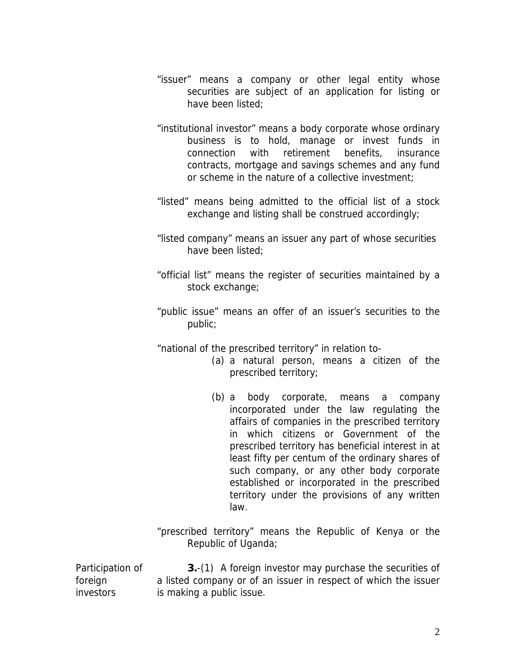- "issuer" means a company or other legal entity whose securities are subject of an application for listing or have been listed;
- "institutional investor" means a body corporate whose ordinary business is to hold, manage or invest funds in connection with retirement benefits, insurance contracts, mortgage and savings schemes and any fund or scheme in the nature of a collective investment;
- "listed" means being admitted to the official list of a stock exchange and listing shall be construed accordingly;
- "listed company" means an issuer any part of whose securities have been listed;
- "official list" means the register of securities maintained by a stock exchange;
- "public issue" means an offer of an issuer's securities to the public;

"national of the prescribed territory" in relation to-

- (a) a natural person, means a citizen of the prescribed territory;
- (b) a body corporate, means a company incorporated under the law regulating the affairs of companies in the prescribed territory in which citizens or Government of the prescribed territory has beneficial interest in at least fifty per centum of the ordinary shares of such company, or any other body corporate established or incorporated in the prescribed territory under the provisions of any written law.

"prescribed territory" means the Republic of Kenya or the Republic of Uganda;

Participation of investors **3.**-(1) A foreign investor may purchase the securities of a listed company or of an issuer in respect of which the issuer is making a public issue.

foreign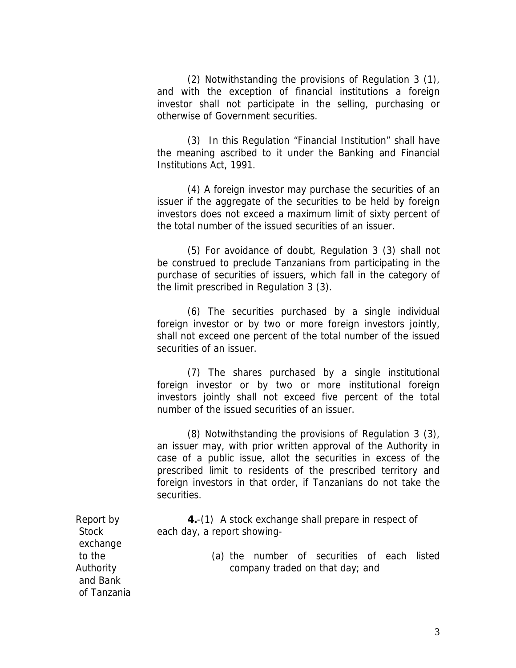(2) Notwithstanding the provisions of Regulation 3 (1), and with the exception of financial institutions a foreign investor shall not participate in the selling, purchasing or otherwise of Government securities.

 (3) In this Regulation "Financial Institution" shall have the meaning ascribed to it under the Banking and Financial Institutions Act, 1991.

 (4) A foreign investor may purchase the securities of an issuer if the aggregate of the securities to be held by foreign investors does not exceed a maximum limit of sixty percent of the total number of the issued securities of an issuer.

 (5) For avoidance of doubt, Regulation 3 (3) shall not be construed to preclude Tanzanians from participating in the purchase of securities of issuers, which fall in the category of the limit prescribed in Regulation 3 (3).

 (6) The securities purchased by a single individual foreign investor or by two or more foreign investors jointly, shall not exceed one percent of the total number of the issued securities of an issuer.

 (7) The shares purchased by a single institutional foreign investor or by two or more institutional foreign investors jointly shall not exceed five percent of the total number of the issued securities of an issuer.

 (8) Notwithstanding the provisions of Regulation 3 (3), an issuer may, with prior written approval of the Authority in case of a public issue, allot the securities in excess of the prescribed limit to residents of the prescribed territory and foreign investors in that order, if Tanzanians do not take the securities.

**4.**-(1) A stock exchange shall prepare in respect of each day, a report showing-

> (a) the number of securities of each listed company traded on that day; and

Report by **Stock** exchange to the Authority and Bank of Tanzania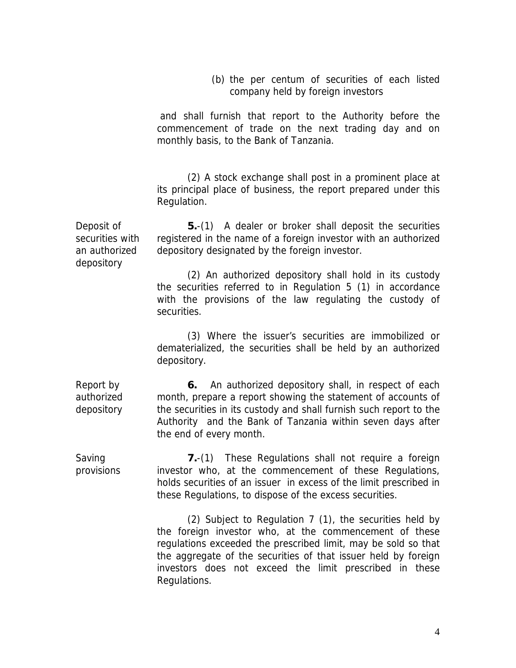(b) the per centum of securities of each listed company held by foreign investors

 and shall furnish that report to the Authority before the commencement of trade on the next trading day and on monthly basis, to the Bank of Tanzania.

 (2) A stock exchange shall post in a prominent place at its principal place of business, the report prepared under this Regulation.

Deposit of securities with an authorized depository

**5.**-(1) A dealer or broker shall deposit the securities registered in the name of a foreign investor with an authorized depository designated by the foreign investor.

 (2) An authorized depository shall hold in its custody the securities referred to in Regulation 5 (1) in accordance with the provisions of the law regulating the custody of securities.

 (3) Where the issuer's securities are immobilized or dematerialized, the securities shall be held by an authorized depository.

**6.** An authorized depository shall, in respect of each month, prepare a report showing the statement of accounts of the securities in its custody and shall furnish such report to the Authority and the Bank of Tanzania within seven days after the end of every month.

Saving provisions **7.**-(1) These Regulations shall not require a foreign investor who, at the commencement of these Regulations, holds securities of an issuer in excess of the limit prescribed in these Regulations, to dispose of the excess securities.

> (2) Subject to Regulation 7 (1), the securities held by the foreign investor who, at the commencement of these regulations exceeded the prescribed limit, may be sold so that the aggregate of the securities of that issuer held by foreign investors does not exceed the limit prescribed in these Regulations.

Report by authorized depository